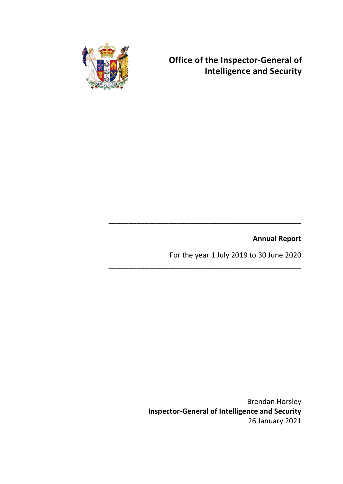

**Office of the Inspector-General of Intelligence and Security**

**Annual Report**

For the year 1 July 2019 to 30 June 2020

**\_\_\_\_\_\_\_\_\_\_\_\_\_\_\_\_\_\_\_\_\_\_\_\_\_\_\_\_\_\_\_\_\_\_\_\_\_\_\_\_\_\_\_\_\_\_\_\_**

**\_\_\_\_\_\_\_\_\_\_\_\_\_\_\_\_\_\_\_\_\_\_\_\_\_\_\_\_\_\_\_\_\_\_\_\_\_\_\_\_\_\_\_\_\_\_\_\_**

Brendan Horsley **Inspector-General of Intelligence and Security** 26 January 2021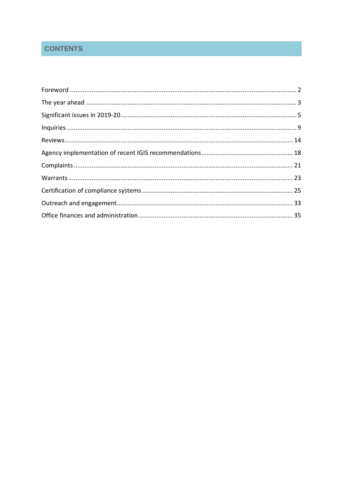# **CONTENTS**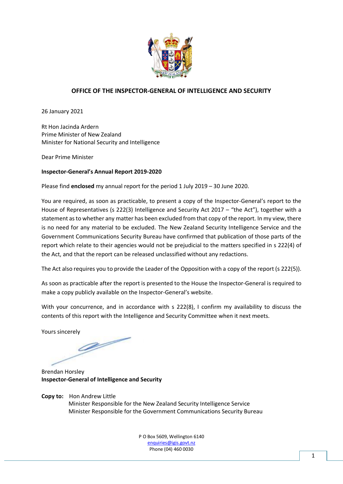

### **OFFICE OF THE INSPECTOR-GENERAL OF INTELLIGENCE AND SECURITY**

26 January 2021

Rt Hon Jacinda Ardern Prime Minister of New Zealand Minister for National Security and Intelligence

Dear Prime Minister

#### **Inspector-General's Annual Report 2019-2020**

Please find **enclosed** my annual report for the period 1 July 2019 – 30 June 2020.

You are required, as soon as practicable, to present a copy of the Inspector-General's report to the House of Representatives (s 222(3) Intelligence and Security Act 2017 – "the Act"), together with a statement as to whether any matter has been excluded from that copy of the report. In my view, there is no need for any material to be excluded. The New Zealand Security Intelligence Service and the Government Communications Security Bureau have confirmed that publication of those parts of the report which relate to their agencies would not be prejudicial to the matters specified in s 222(4) of the Act, and that the report can be released unclassified without any redactions.

The Act also requires you to provide the Leader of the Opposition with a copy of the report (s 222(5)).

As soon as practicable after the report is presented to the House the Inspector-General is required to make a copy publicly available on the Inspector-General's website.

With your concurrence, and in accordance with s 222(8), I confirm my availability to discuss the contents of this report with the Intelligence and Security Committee when it next meets.

Yours sincerely

g/

Brendan Horsley **Inspector-General of Intelligence and Security**

**Copy to:** Hon Andrew Little Minister Responsible for the New Zealand Security Intelligence Service Minister Responsible for the Government Communications Security Bureau

> P O Box 5609, Wellington 6140 [enquiries@igis.govt.nz](mailto:enquiries@igis.govt.nz) Phone (04) 460 0030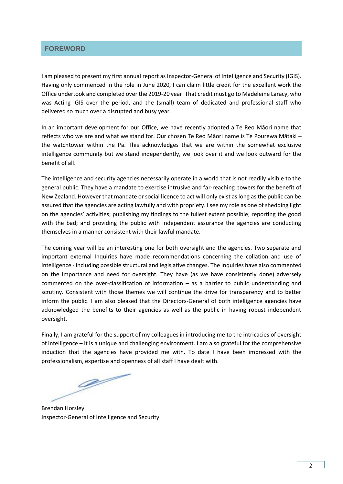### <span id="page-5-0"></span>**FOREWORD**

I am pleased to present my first annual report as Inspector-General of Intelligence and Security (IGIS). Having only commenced in the role in June 2020, I can claim little credit for the excellent work the Office undertook and completed over the 2019-20 year. That credit must go to Madeleine Laracy, who was Acting IGIS over the period, and the (small) team of dedicated and professional staff who delivered so much over a disrupted and busy year.

In an important development for our Office, we have recently adopted a Te Reo Māori name that reflects who we are and what we stand for. Our chosen Te Reo Māori name is Te Pourewa Mātaki – the watchtower within the Pā. This acknowledges that we are within the somewhat exclusive intelligence community but we stand independently, we look over it and we look outward for the benefit of all.

The intelligence and security agencies necessarily operate in a world that is not readily visible to the general public. They have a mandate to exercise intrusive and far-reaching powers for the benefit of New Zealand. However that mandate or social licence to act will only exist as long as the public can be assured that the agencies are acting lawfully and with propriety. I see my role as one of shedding light on the agencies' activities; publishing my findings to the fullest extent possible; reporting the good with the bad; and providing the public with independent assurance the agencies are conducting themselves in a manner consistent with their lawful mandate.

The coming year will be an interesting one for both oversight and the agencies. Two separate and important external Inquiries have made recommendations concerning the collation and use of intelligence - including possible structural and legislative changes. The Inquiries have also commented on the importance and need for oversight. They have (as we have consistently done) adversely commented on the over-classification of information – as a barrier to public understanding and scrutiny. Consistent with those themes we will continue the drive for transparency and to better inform the public. I am also pleased that the Directors-General of both intelligence agencies have acknowledged the benefits to their agencies as well as the public in having robust independent oversight.

Finally, I am grateful for the support of my colleagues in introducing me to the intricacies of oversight of intelligence – it is a unique and challenging environment. I am also grateful for the comprehensive induction that the agencies have provided me with. To date I have been impressed with the professionalism, expertise and openness of all staff I have dealt with.

**A** 

Brendan Horsley Inspector-General of Intelligence and Security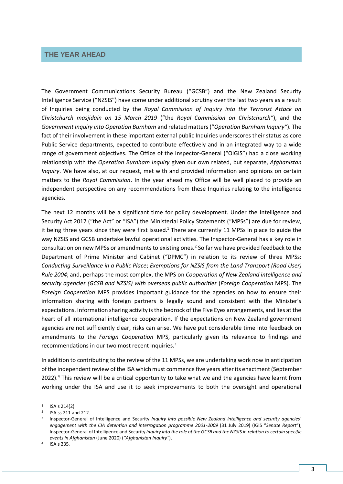### <span id="page-6-0"></span>**THE YEAR AHEAD**

The Government Communications Security Bureau ("GCSB") and the New Zealand Security Intelligence Service ("NZSIS") have come under additional scrutiny over the last two years as a result of Inquiries being conducted by the *Royal Commission of Inquiry into the Terrorist Attack on Christchurch masjidain on 15 March 2019* ("the *Royal Commission on Christchurch"*), and the *Government Inquiry into Operation Burnham* and related matters ("*Operation Burnham Inquiry"*). The fact of their involvement in these important external public Inquiries underscores their status as core Public Service departments, expected to contribute effectively and in an integrated way to a wide range of government objectives. The Office of the Inspector-General ("OIGIS") had a close working relationship with the *Operation Burnham Inquiry* given our own related, but separate, *Afghanistan Inquiry*. We have also, at our request, met with and provided information and opinions on certain matters to the *Royal Commission*. In the year ahead my Office will be well placed to provide an independent perspective on any recommendations from these Inquiries relating to the intelligence agencies.

The next 12 months will be a significant time for policy development. Under the Intelligence and Security Act 2017 ("the Act" or "ISA") the Ministerial Policy Statements ("MPSs") are due for review, it being three years since they were first issued.<sup>1</sup> There are currently 11 MPSs in place to guide the way NZSIS and GCSB undertake lawful operational activities. The Inspector-General has a key role in consultation on new MPSs or amendments to existing ones.<sup>2</sup> So far we have provided feedback to the Department of Prime Minister and Cabinet ("DPMC") in relation to its review of three MPSs: *Conducting Surveillance in a Public Place*; *Exemptions for NZSIS from the Land Transport (Road User) Rule 2004*; and, perhaps the most complex, the MPS on *Cooperation of New Zealand intelligence and security agencies (GCSB and NZSIS) with overseas public authorities* (*Foreign Cooperation* MPS). The *Foreign Cooperation* MPS provides important guidance for the agencies on how to ensure their information sharing with foreign partners is legally sound and consistent with the Minister's expectations. Information sharing activity is the bedrock of the Five Eyes arrangements, and lies at the heart of all international intelligence cooperation. If the expectations on New Zealand government agencies are not sufficiently clear, risks can arise. We have put considerable time into feedback on amendments to the *Foreign Cooperation* MPS, particularly given its relevance to findings and recommendations in our two most recent Inquiries.<sup>3</sup>

In addition to contributing to the review of the 11 MPSs, we are undertaking work now in anticipation of the independent review of the ISA which must commence five years after its enactment(September 2022).<sup>4</sup> This review will be a critical opportunity to take what we and the agencies have learnt from working under the ISA and use it to seek improvements to both the oversight and operational

-

 $1$  ISA s 214(2).

<sup>&</sup>lt;sup>2</sup> ISA ss 211 and 212.

<sup>3</sup> Inspector-General of Intelligence and Security *Inquiry into possible New Zealand intelligence and security agencies' engagement with the CIA detention and interrogation programme 2001-2009* (31 July 2019) (IGIS "*Senate Report*"); Inspector-General of Intelligence and Security *Inquiry into the role of the GCSB and the NZSIS in relation to certain specific events in Afghanistan* (June 2020) (*"Afghanistan Inquiry"*).

<sup>4</sup> ISA s 235.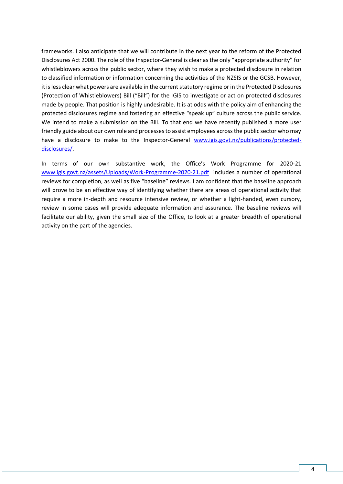frameworks. I also anticipate that we will contribute in the next year to the reform of the Protected Disclosures Act 2000. The role of the Inspector-General is clear as the only "appropriate authority" for whistleblowers across the public sector, where they wish to make a protected disclosure in relation to classified information or information concerning the activities of the NZSIS or the GCSB. However, it is less clear what powers are available in the current statutory regime or in the Protected Disclosures (Protection of Whistleblowers) Bill ("Bill") for the IGIS to investigate or act on protected disclosures made by people. That position is highly undesirable. It is at odds with the policy aim of enhancing the protected disclosures regime and fostering an effective "speak up" culture across the public service. We intend to make a submission on the Bill. To that end we have recently published a more user friendly guide about our own role and processes to assist employees across the public sector who may have a disclosure to make to the Inspector-General [www.igis.govt.nz/publications/protected](http://www.igis.govt.nz/publications/protected-disclosures/)[disclosures/.](http://www.igis.govt.nz/publications/protected-disclosures/)

In terms of our own substantive work, the Office's Work Programme for 2020-21 [www.igis.govt.nz/assets/Uploads/Work-Programme-2020-21.pdf](http://www.igis.govt.nz/assets/Uploads/Work-Programme-2020-21.pdf) includes a number of operational reviews for completion, as well as five "baseline" reviews. I am confident that the baseline approach will prove to be an effective way of identifying whether there are areas of operational activity that require a more in-depth and resource intensive review, or whether a light-handed, even cursory, review in some cases will provide adequate information and assurance. The baseline reviews will facilitate our ability, given the small size of the Office, to look at a greater breadth of operational activity on the part of the agencies.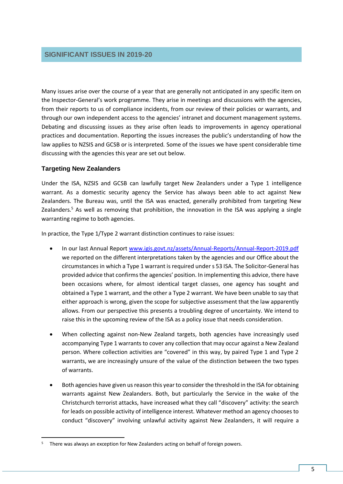### <span id="page-8-0"></span>**SIGNIFICANT ISSUES IN 2019-20**

Many issues arise over the course of a year that are generally not anticipated in any specific item on the Inspector-General's work programme. They arise in meetings and discussions with the agencies, from their reports to us of compliance incidents, from our review of their policies or warrants, and through our own independent access to the agencies' intranet and document management systems. Debating and discussing issues as they arise often leads to improvements in agency operational practices and documentation. Reporting the issues increases the public's understanding of how the law applies to NZSIS and GCSB or is interpreted. Some of the issues we have spent considerable time discussing with the agencies this year are set out below.

#### **Targeting New Zealanders**

-

Under the ISA, NZSIS and GCSB can lawfully target New Zealanders under a Type 1 intelligence warrant. As a domestic security agency the Service has always been able to act against New Zealanders. The Bureau was, until the ISA was enacted, generally prohibited from targeting New Zealanders.<sup>5</sup> As well as removing that prohibition, the innovation in the ISA was applying a single warranting regime to both agencies.

In practice, the Type 1/Type 2 warrant distinction continues to raise issues:

- In our last Annual Report [www.igis.govt.nz/assets/Annual-Reports/Annual-Report-2019.pdf](http://www.igis.govt.nz/assets/Annual-Reports/Annual-Report-2019.pdf) we reported on the different interpretations taken by the agencies and our Office about the circumstances in which a Type 1 warrant is required under s 53 ISA. The Solicitor-General has provided advice that confirms the agencies' position. In implementing this advice, there have been occasions where, for almost identical target classes, one agency has sought and obtained a Type 1 warrant, and the other a Type 2 warrant. We have been unable to say that either approach is wrong, given the scope for subjective assessment that the law apparently allows. From our perspective this presents a troubling degree of uncertainty. We intend to raise this in the upcoming review of the ISA as a policy issue that needs consideration.
- When collecting against non-New Zealand targets, both agencies have increasingly used accompanying Type 1 warrants to cover any collection that may occur against a New Zealand person. Where collection activities are "covered" in this way, by paired Type 1 and Type 2 warrants, we are increasingly unsure of the value of the distinction between the two types of warrants.
- Both agencies have given us reason this year to consider the threshold in the ISA for obtaining warrants against New Zealanders. Both, but particularly the Service in the wake of the Christchurch terrorist attacks, have increased what they call "discovery" activity: the search for leads on possible activity of intelligence interest. Whatever method an agency chooses to conduct "discovery" involving unlawful activity against New Zealanders, it will require a

There was always an exception for New Zealanders acting on behalf of foreign powers.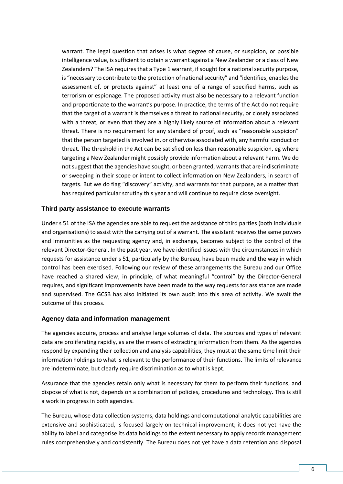warrant. The legal question that arises is what degree of cause, or suspicion, or possible intelligence value, is sufficient to obtain a warrant against a New Zealander or a class of New Zealanders? The ISA requires that a Type 1 warrant, if sought for a national security purpose, is "necessary to contribute to the protection of national security" and "identifies, enables the assessment of, or protects against" at least one of a range of specified harms, such as terrorism or espionage. The proposed activity must also be necessary to a relevant function and proportionate to the warrant's purpose. In practice, the terms of the Act do not require that the target of a warrant is themselves a threat to national security, or closely associated with a threat, or even that they are a highly likely source of information about a relevant threat. There is no requirement for any standard of proof, such as "reasonable suspicion" that the person targeted is involved in, or otherwise associated with, any harmful conduct or threat. The threshold in the Act can be satisfied on less than reasonable suspicion, eg where targeting a New Zealander might possibly provide information about a relevant harm. We do not suggest that the agencies have sought, or been granted, warrants that are indiscriminate or sweeping in their scope or intent to collect information on New Zealanders, in search of targets. But we do flag "discovery" activity, and warrants for that purpose, as a matter that has required particular scrutiny this year and will continue to require close oversight.

#### **Third party assistance to execute warrants**

Under s 51 of the ISA the agencies are able to request the assistance of third parties (both individuals and organisations) to assist with the carrying out of a warrant. The assistant receives the same powers and immunities as the requesting agency and, in exchange, becomes subject to the control of the relevant Director-General. In the past year, we have identified issues with the circumstances in which requests for assistance under s 51, particularly by the Bureau, have been made and the way in which control has been exercised. Following our review of these arrangements the Bureau and our Office have reached a shared view, in principle, of what meaningful "control" by the Director-General requires, and significant improvements have been made to the way requests for assistance are made and supervised. The GCSB has also initiated its own audit into this area of activity. We await the outcome of this process.

#### **Agency data and information management**

The agencies acquire, process and analyse large volumes of data. The sources and types of relevant data are proliferating rapidly, as are the means of extracting information from them. As the agencies respond by expanding their collection and analysis capabilities, they must at the same time limit their information holdings to what is relevant to the performance of their functions. The limits of relevance are indeterminate, but clearly require discrimination as to what is kept.

Assurance that the agencies retain only what is necessary for them to perform their functions, and dispose of what is not, depends on a combination of policies, procedures and technology. This is still a work in progress in both agencies.

The Bureau, whose data collection systems, data holdings and computational analytic capabilities are extensive and sophisticated, is focused largely on technical improvement; it does not yet have the ability to label and categorise its data holdings to the extent necessary to apply records management rules comprehensively and consistently. The Bureau does not yet have a data retention and disposal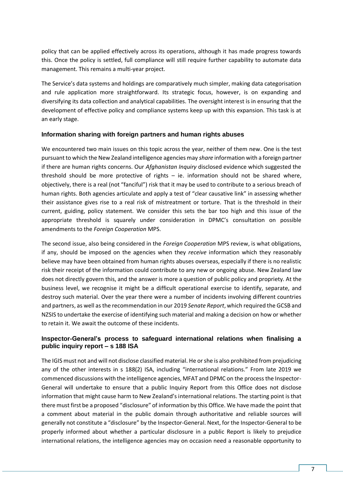policy that can be applied effectively across its operations, although it has made progress towards this. Once the policy is settled, full compliance will still require further capability to automate data management. This remains a multi-year project.

The Service's data systems and holdings are comparatively much simpler, making data categorisation and rule application more straightforward. Its strategic focus, however, is on expanding and diversifying its data collection and analytical capabilities. The oversight interest is in ensuring that the development of effective policy and compliance systems keep up with this expansion. This task is at an early stage.

#### **Information sharing with foreign partners and human rights abuses**

We encountered two main issues on this topic across the year, neither of them new. One is the test pursuant to which the New Zealand intelligence agencies may *share* information with a foreign partner if there are human rights concerns. Our *Afghanistan Inquiry* disclosed evidence which suggested the threshold should be more protective of rights – ie. information should not be shared where, objectively, there is a real (not "fanciful") risk that it may be used to contribute to a serious breach of human rights. Both agencies articulate and apply a test of "clear causative link" in assessing whether their assistance gives rise to a real risk of mistreatment or torture. That is the threshold in their current, guiding, policy statement. We consider this sets the bar too high and this issue of the appropriate threshold is squarely under consideration in DPMC's consultation on possible amendments to the *Foreign Cooperation* MPS.

The second issue, also being considered in the *Foreign Cooperation* MPS review, is what obligations, if any, should be imposed on the agencies when they *receive* information which they reasonably believe may have been obtained from human rights abuses overseas, especially if there is no realistic risk their receipt of the information could contribute to any new or ongoing abuse. New Zealand law does not directly govern this, and the answer is more a question of public policy and propriety. At the business level, we recognise it might be a difficult operational exercise to identify, separate, and destroy such material. Over the year there were a number of incidents involving different countries and partners, as well as the recommendation in our 2019 *Senate Report*, which required the GCSB and NZSIS to undertake the exercise of identifying such material and making a decision on how or whether to retain it. We await the outcome of these incidents.

### **Inspector-General's process to safeguard international relations when finalising a public inquiry report – s 188 ISA**

The IGIS must not and will not disclose classified material. He or she is also prohibited from prejudicing any of the other interests in s 188(2) ISA, including "international relations." From late 2019 we commenced discussions with the intelligence agencies, MFAT and DPMC on the process the Inspector-General will undertake to ensure that a public Inquiry Report from this Office does not disclose information that might cause harm to New Zealand's international relations. The starting point is that there must first be a proposed "disclosure" of information by this Office. We have made the point that a comment about material in the public domain through authoritative and reliable sources will generally not constitute a "disclosure" by the Inspector-General. Next, for the Inspector-General to be properly informed about whether a particular disclosure in a public Report is likely to prejudice international relations, the intelligence agencies may on occasion need a reasonable opportunity to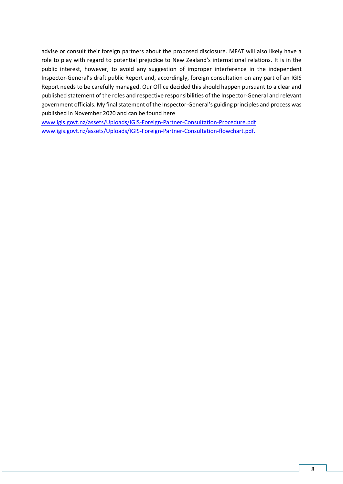advise or consult their foreign partners about the proposed disclosure. MFAT will also likely have a role to play with regard to potential prejudice to New Zealand's international relations. It is in the public interest, however, to avoid any suggestion of improper interference in the independent Inspector-General's draft public Report and, accordingly, foreign consultation on any part of an IGIS Report needs to be carefully managed. Our Office decided this should happen pursuant to a clear and published statement of the roles and respective responsibilities of the Inspector-General and relevant government officials. My final statement of the Inspector-General's guiding principles and process was published in November 2020 and can be found here

[www.igis.govt.nz/assets/Uploads/IGIS-Foreign-Partner-Consultation-Procedure.pdf](http://www.igis.govt.nz/assets/Uploads/IGIS-Foreign-Partner-Consultation-Procedure.pdf) [www.igis.govt.nz/assets/Uploads/IGIS-Foreign-Partner-Consultation-flowchart.pdf.](http://www.igis.govt.nz/assets/Uploads/IGIS-Foreign-Partner-Consultation-flowchart.pdf)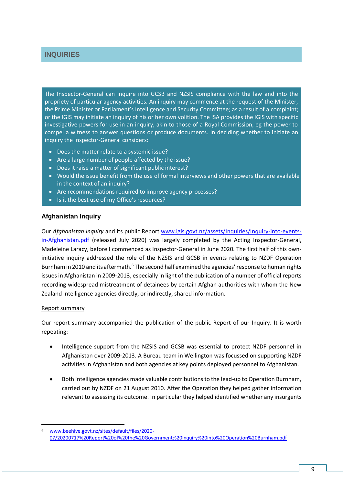### <span id="page-12-0"></span>**INQUIRIES**

The Inspector-General can inquire into GCSB and NZSIS compliance with the law and into the propriety of particular agency activities. An inquiry may commence at the request of the Minister, the Prime Minister or Parliament's Intelligence and Security Committee; as a result of a complaint; or the IGIS may initiate an inquiry of his or her own volition. The ISA provides the IGIS with specific investigative powers for use in an inquiry, akin to those of a Royal Commission, eg the power to compel a witness to answer questions or produce documents. In deciding whether to initiate an inquiry the Inspector-General considers:

- Does the matter relate to a systemic issue?
- Are a large number of people affected by the issue?
- Does it raise a matter of significant public interest?
- Would the issue benefit from the use of formal interviews and other powers that are available in the context of an inquiry?
- Are recommendations required to improve agency processes?
- Is it the best use of my Office's resources?

#### **Afghanistan Inquiry**

Our *Afghanistan Inquiry* and its public Report [www.igis.govt.nz/assets/Inquiries/Inquiry-into-events](http://www.igis.govt.nz/assets/Inquiries/Inquiry-into-events-in-Afghanistan.pdf)[in-Afghanistan.pdf](http://www.igis.govt.nz/assets/Inquiries/Inquiry-into-events-in-Afghanistan.pdf) (released July 2020) was largely completed by the Acting Inspector-General, Madeleine Laracy, before I commenced as Inspector-General in June 2020. The first half of this owninitiative inquiry addressed the role of the NZSIS and GCSB in events relating to NZDF Operation Burnham in 2010 and its aftermath.<sup>6</sup> The second half examined the agencies' response to human rights issues in Afghanistan in 2009-2013, especially in light of the publication of a number of official reports recording widespread mistreatment of detainees by certain Afghan authorities with whom the New Zealand intelligence agencies directly, or indirectly, shared information.

#### Report summary

1

Our report summary accompanied the publication of the public Report of our Inquiry. It is worth repeating:

- Intelligence support from the NZSIS and GCSB was essential to protect NZDF personnel in Afghanistan over 2009-2013. A Bureau team in Wellington was focussed on supporting NZDF activities in Afghanistan and both agencies at key points deployed personnel to Afghanistan.
- Both intelligence agencies made valuable contributions to the lead-up to Operation Burnham, carried out by NZDF on 21 August 2010. After the Operation they helped gather information relevant to assessing its outcome. In particular they helped identified whether any insurgents

<sup>6</sup> [www.beehive.govt.nz/sites/default/files/2020-](http://www.beehive.govt.nz/sites/default/files/2020-07/20200717%20Report%20of%20the%20Government%20Inquiry%20into%20Operation%20Burnham.pdf) [07/20200717%20Report%20of%20the%20Government%20Inquiry%20into%20Operation%20Burnham.pdf](http://www.beehive.govt.nz/sites/default/files/2020-07/20200717%20Report%20of%20the%20Government%20Inquiry%20into%20Operation%20Burnham.pdf)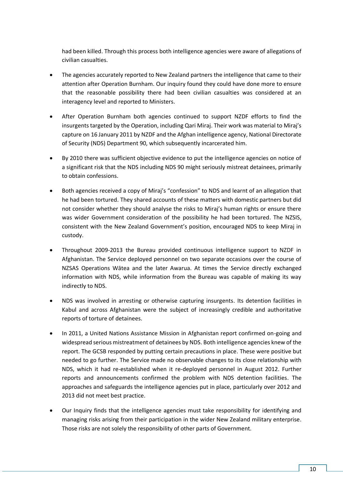had been killed. Through this process both intelligence agencies were aware of allegations of civilian casualties.

- The agencies accurately reported to New Zealand partners the intelligence that came to their attention after Operation Burnham. Our inquiry found they could have done more to ensure that the reasonable possibility there had been civilian casualties was considered at an interagency level and reported to Ministers.
- After Operation Burnham both agencies continued to support NZDF efforts to find the insurgents targeted by the Operation, including Qari Miraj. Their work was material to Miraj's capture on 16 January 2011 by NZDF and the Afghan intelligence agency, National Directorate of Security (NDS) Department 90, which subsequently incarcerated him.
- By 2010 there was sufficient objective evidence to put the intelligence agencies on notice of a significant risk that the NDS including NDS 90 might seriously mistreat detainees, primarily to obtain confessions.
- Both agencies received a copy of Miraj's "confession" to NDS and learnt of an allegation that he had been tortured. They shared accounts of these matters with domestic partners but did not consider whether they should analyse the risks to Miraj's human rights or ensure there was wider Government consideration of the possibility he had been tortured. The NZSIS, consistent with the New Zealand Government's position, encouraged NDS to keep Miraj in custody.
- Throughout 2009-2013 the Bureau provided continuous intelligence support to NZDF in Afghanistan. The Service deployed personnel on two separate occasions over the course of NZSAS Operations Wātea and the later Awarua. At times the Service directly exchanged information with NDS, while information from the Bureau was capable of making its way indirectly to NDS.
- NDS was involved in arresting or otherwise capturing insurgents. Its detention facilities in Kabul and across Afghanistan were the subject of increasingly credible and authoritative reports of torture of detainees.
- In 2011, a United Nations Assistance Mission in Afghanistan report confirmed on-going and widespread serious mistreatment of detainees by NDS. Both intelligence agencies knew of the report. The GCSB responded by putting certain precautions in place. These were positive but needed to go further. The Service made no observable changes to its close relationship with NDS, which it had re-established when it re-deployed personnel in August 2012. Further reports and announcements confirmed the problem with NDS detention facilities. The approaches and safeguards the intelligence agencies put in place, particularly over 2012 and 2013 did not meet best practice.
- Our Inquiry finds that the intelligence agencies must take responsibility for identifying and managing risks arising from their participation in the wider New Zealand military enterprise. Those risks are not solely the responsibility of other parts of Government.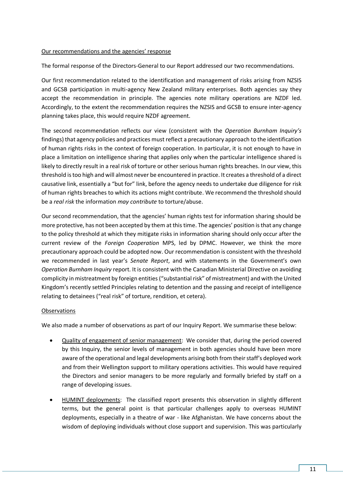#### Our recommendations and the agencies' response

The formal response of the Directors-General to our Report addressed our two recommendations.

Our first recommendation related to the identification and management of risks arising from NZSIS and GCSB participation in multi-agency New Zealand military enterprises. Both agencies say they accept the recommendation in principle. The agencies note military operations are NZDF led. Accordingly, to the extent the recommendation requires the NZSIS and GCSB to ensure inter-agency planning takes place, this would require NZDF agreement.

The second recommendation reflects our view (consistent with the *Operation Burnham Inquiry's*  findings) that agency policies and practices must reflect a precautionary approach to the identification of human rights risks in the context of foreign cooperation. In particular, it is not enough to have in place a limitation on intelligence sharing that applies only when the particular intelligence shared is likely to directly result in a real risk of torture or other serious human rights breaches. In our view, this threshold is too high and will almost never be encountered in practice. It creates a threshold of a direct causative link, essentially a "but for" link, before the agency needs to undertake due diligence for risk of human rights breaches to which its actions might contribute. We recommend the threshold should be a *real risk* the information *may contribute* to torture/abuse.

Our second recommendation, that the agencies' human rights test for information sharing should be more protective, has not been accepted by them at this time. The agencies' position isthat any change to the policy threshold at which they mitigate risks in information sharing should only occur after the current review of the *Foreign Cooperation* MPS, led by DPMC. However, we think the more precautionary approach could be adopted now. Our recommendation is consistent with the threshold we recommended in last year's *Senate Report*, and with statements in the Government's own *Operation Burnham Inquiry* report. It is consistent with the Canadian Ministerial Directive on avoiding complicity in mistreatment by foreign entities ("substantial risk" of mistreatment) and with the United Kingdom's recently settled Principles relating to detention and the passing and receipt of intelligence relating to detainees ("real risk" of torture, rendition, et cetera).

#### **Observations**

We also made a number of observations as part of our Inquiry Report. We summarise these below:

- Quality of engagement of senior management: We consider that, during the period covered by this Inquiry, the senior levels of management in both agencies should have been more aware of the operational and legal developments arising both from their staff's deployed work and from their Wellington support to military operations activities. This would have required the Directors and senior managers to be more regularly and formally briefed by staff on a range of developing issues.
- HUMINT deployments: The classified report presents this observation in slightly different terms, but the general point is that particular challenges apply to overseas HUMINT deployments, especially in a theatre of war - like Afghanistan. We have concerns about the wisdom of deploying individuals without close support and supervision. This was particularly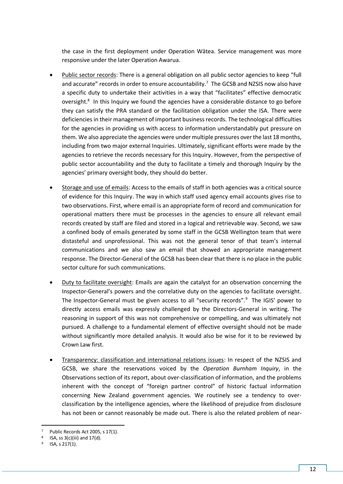the case in the first deployment under Operation Wātea. Service management was more responsive under the later Operation Awarua.

- Public sector records: There is a general obligation on all public sector agencies to keep "full and accurate" records in order to ensure accountability.<sup>7</sup> The GCSB and NZSIS now also have a specific duty to undertake their activities in a way that "facilitates" effective democratic oversight.<sup>8</sup> In this Inquiry we found the agencies have a considerable distance to go before they can satisfy the PRA standard or the facilitation obligation under the ISA. There were deficiencies in their management of important business records. The technological difficulties for the agencies in providing us with access to information understandably put pressure on them. We also appreciate the agencies were under multiple pressures over the last 18 months, including from two major external Inquiries. Ultimately, significant efforts were made by the agencies to retrieve the records necessary for this Inquiry. However, from the perspective of public sector accountability and the duty to facilitate a timely and thorough Inquiry by the agencies' primary oversight body, they should do better.
- Storage and use of emails: Access to the emails of staff in both agencies was a critical source of evidence for this Inquiry. The way in which staff used agency email accounts gives rise to two observations. First, where email is an appropriate form of record and communication for operational matters there must be processes in the agencies to ensure all relevant email records created by staff are filed and stored in a logical and retrievable way. Second, we saw a confined body of emails generated by some staff in the GCSB Wellington team that were distasteful and unprofessional. This was not the general tenor of that team's internal communications and we also saw an email that showed an appropriate management response. The Director-General of the GCSB has been clear that there is no place in the public sector culture for such communications.
- Duty to facilitate oversight: Emails are again the catalyst for an observation concerning the Inspector-General's powers and the correlative duty on the agencies to facilitate oversight. The Inspector-General must be given access to all "security records".<sup>9</sup> The IGIS' power to directly access emails was expressly challenged by the Directors-General in writing. The reasoning in support of this was not comprehensive or compelling, and was ultimately not pursued. A challenge to a fundamental element of effective oversight should not be made without significantly more detailed analysis. It would also be wise for it to be reviewed by Crown Law first.
- Transparency: classification and international relations issues: In respect of the NZSIS and GCSB, we share the reservations voiced by the *Operation Burnham Inquiry*, in the Observations section of its report, about over-classification of information, and the problems inherent with the concept of "foreign partner control" of historic factual information concerning New Zealand government agencies. We routinely see a tendency to overclassification by the intelligence agencies, where the likelihood of prejudice from disclosure has not been or cannot reasonably be made out. There is also the related problem of near-

**<sup>.</sup>** Public Records Act 2005, s 17(1).

<sup>8</sup> ISA, ss 3(c)(iii) and 17(d).

<sup>9</sup> ISA, s 217(1).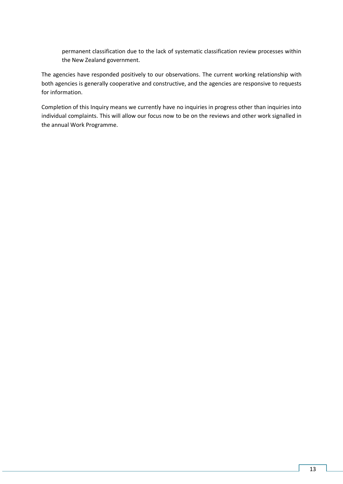permanent classification due to the lack of systematic classification review processes within the New Zealand government.

The agencies have responded positively to our observations. The current working relationship with both agencies is generally cooperative and constructive, and the agencies are responsive to requests for information.

Completion of this Inquiry means we currently have no inquiries in progress other than inquiries into individual complaints. This will allow our focus now to be on the reviews and other work signalled in the annual Work Programme.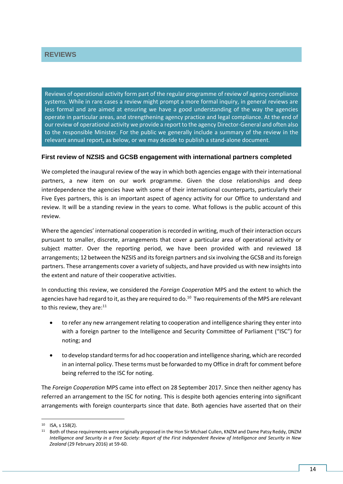<span id="page-17-0"></span>Reviews of operational activity form part of the regular programme of review of agency compliance systems. While in rare cases a review might prompt a more formal inquiry, in general reviews are less formal and are aimed at ensuring we have a good understanding of the way the agencies operate in particular areas, and strengthening agency practice and legal compliance. At the end of our review of operational activity we provide a report to the agency Director-General and often also to the responsible Minister. For the public we generally include a summary of the review in the relevant annual report, as below, or we may decide to publish a stand-alone document.

#### **First review of NZSIS and GCSB engagement with international partners completed**

We completed the inaugural review of the way in which both agencies engage with their international partners, a new item on our work programme. Given the close relationships and deep interdependence the agencies have with some of their international counterparts, particularly their Five Eyes partners, this is an important aspect of agency activity for our Office to understand and review. It will be a standing review in the years to come. What follows is the public account of this review.

Where the agencies' international cooperation is recorded in writing, much of their interaction occurs pursuant to smaller, discrete, arrangements that cover a particular area of operational activity or subject matter. Over the reporting period, we have been provided with and reviewed 18 arrangements; 12 between the NZSIS and itsforeign partners and six involving the GCSB and itsforeign partners. These arrangements cover a variety of subjects, and have provided us with new insights into the extent and nature of their cooperative activities.

In conducting this review, we considered the *Foreign Cooperation* MPS and the extent to which the agencies have had regard to it, as they are required to do.<sup>10</sup> Two requirements of the MPS are relevant to this review, they are:<sup>11</sup>

- to refer any new arrangement relating to cooperation and intelligence sharing they enter into with a foreign partner to the Intelligence and Security Committee of Parliament ("ISC") for noting; and
- to develop standard terms for ad hoc cooperation and intelligence sharing, which are recorded in an internal policy. These terms must be forwarded to my Office in draft for comment before being referred to the ISC for noting.

The *Foreign Cooperation* MPS came into effect on 28 September 2017. Since then neither agency has referred an arrangement to the ISC for noting. This is despite both agencies entering into significant arrangements with foreign counterparts since that date. Both agencies have asserted that on their

1

<sup>10</sup> ISA, s 158(2).

<sup>&</sup>lt;sup>11</sup> Both of these requirements were originally proposed in the Hon Sir Michael Cullen, KNZM and Dame Patsy Reddy, DNZM *Intelligence and Security in a Free Society: Report of the First Independent Review of Intelligence and Security in New Zealand* (29 February 2016) at 59-60.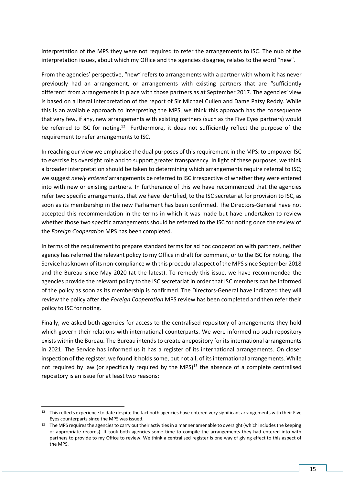interpretation of the MPS they were not required to refer the arrangements to ISC. The nub of the interpretation issues, about which my Office and the agencies disagree, relates to the word "new".

From the agencies' perspective, "new" refers to arrangements with a partner with whom it has never previously had an arrangement, or arrangements with existing partners that are "sufficiently different" from arrangements in place with those partners as at September 2017. The agencies' view is based on a literal interpretation of the report of Sir Michael Cullen and Dame Patsy Reddy. While this is an available approach to interpreting the MPS, we think this approach has the consequence that very few, if any, new arrangements with existing partners (such as the Five Eyes partners) would be referred to ISC for noting.<sup>12</sup> Furthermore, it does not sufficiently reflect the purpose of the requirement to refer arrangements to ISC.

In reaching our view we emphasise the dual purposes of this requirement in the MPS: to empower ISC to exercise its oversight role and to support greater transparency. In light of these purposes, we think a broader interpretation should be taken to determining which arrangements require referral to ISC; we suggest *newly entered* arrangements be referred to ISC irrespective of whether they were entered into with new or existing partners. In furtherance of this we have recommended that the agencies refer two specific arrangements, that we have identified, to the ISC secretariat for provision to ISC, as soon as its membership in the new Parliament has been confirmed. The Directors-General have not accepted this recommendation in the terms in which it was made but have undertaken to review whether those two specific arrangements should be referred to the ISC for noting once the review of the *Foreign Cooperation* MPS has been completed.

In terms of the requirement to prepare standard terms for ad hoc cooperation with partners, neither agency has referred the relevant policy to my Office in draft for comment, or to the ISC for noting. The Service has known of its non-compliance with this procedural aspect of the MPS since September 2018 and the Bureau since May 2020 (at the latest). To remedy this issue, we have recommended the agencies provide the relevant policy to the ISC secretariat in order that ISC members can be informed of the policy as soon as its membership is confirmed. The Directors-General have indicated they will review the policy after the *Foreign Cooperation* MPS review has been completed and then refer their policy to ISC for noting.

Finally, we asked both agencies for access to the centralised repository of arrangements they hold which govern their relations with international counterparts. We were informed no such repository exists within the Bureau. The Bureau intends to create a repository for its international arrangements in 2021. The Service has informed us it has a register of its international arrangements. On closer inspection of the register, we found it holds some, but not all, of its international arrangements. While not required by law (or specifically required by the MPS)<sup>13</sup> the absence of a complete centralised repository is an issue for at least two reasons:

1

<sup>&</sup>lt;sup>12</sup> This reflects experience to date despite the fact both agencies have entered very significant arrangements with their Five Eyes counterparts since the MPS was issued.

<sup>&</sup>lt;sup>13</sup> The MPS requires the agencies to carry out their activities in a manner amenable to oversight (which includes the keeping of appropriate records). It took both agencies some time to compile the arrangements they had entered into with partners to provide to my Office to review. We think a centralised register is one way of giving effect to this aspect of the MPS.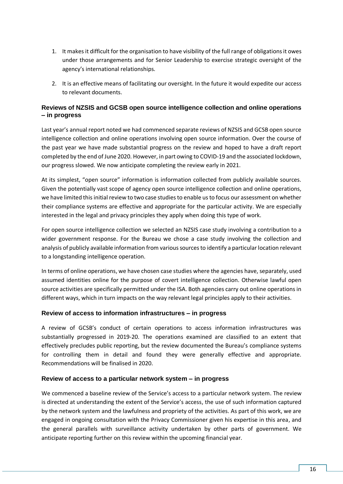- 1. It makes it difficult for the organisation to have visibility of the full range of obligations it owes under those arrangements and for Senior Leadership to exercise strategic oversight of the agency's international relationships.
- 2. It is an effective means of facilitating our oversight. In the future it would expedite our access to relevant documents.

### **Reviews of NZSIS and GCSB open source intelligence collection and online operations – in progress**

Last year's annual report noted we had commenced separate reviews of NZSIS and GCSB open source intelligence collection and online operations involving open source information. Over the course of the past year we have made substantial progress on the review and hoped to have a draft report completed by the end of June 2020. However, in part owing to COVID-19 and the associated lockdown, our progress slowed. We now anticipate completing the review early in 2021.

At its simplest, "open source" information is information collected from publicly available sources. Given the potentially vast scope of agency open source intelligence collection and online operations, we have limited this initial review to two case studies to enable us to focus our assessment on whether their compliance systems are effective and appropriate for the particular activity. We are especially interested in the legal and privacy principles they apply when doing this type of work.

For open source intelligence collection we selected an NZSIS case study involving a contribution to a wider government response. For the Bureau we chose a case study involving the collection and analysis of publicly available information from various sources to identify a particular location relevant to a longstanding intelligence operation.

In terms of online operations, we have chosen case studies where the agencies have, separately, used assumed identities online for the purpose of covert intelligence collection. Otherwise lawful open source activities are specifically permitted under the ISA. Both agencies carry out online operations in different ways, which in turn impacts on the way relevant legal principles apply to their activities.

#### **Review of access to information infrastructures – in progress**

A review of GCSB's conduct of certain operations to access information infrastructures was substantially progressed in 2019-20. The operations examined are classified to an extent that effectively precludes public reporting, but the review documented the Bureau's compliance systems for controlling them in detail and found they were generally effective and appropriate. Recommendations will be finalised in 2020.

#### **Review of access to a particular network system – in progress**

We commenced a baseline review of the Service's access to a particular network system. The review is directed at understanding the extent of the Service's access, the use of such information captured by the network system and the lawfulness and propriety of the activities. As part of this work, we are engaged in ongoing consultation with the Privacy Commissioner given his expertise in this area, and the general parallels with surveillance activity undertaken by other parts of government. We anticipate reporting further on this review within the upcoming financial year.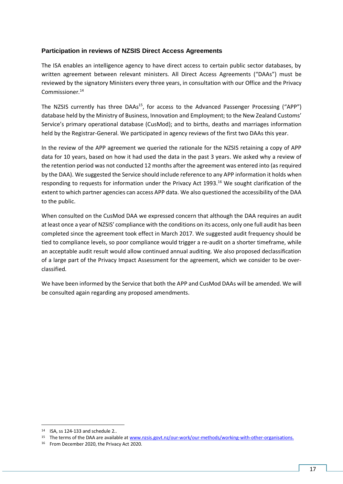### **Participation in reviews of NZSIS Direct Access Agreements**

The ISA enables an intelligence agency to have direct access to certain public sector databases, by written agreement between relevant ministers. All Direct Access Agreements ("DAAs") must be reviewed by the signatory Ministers every three years, in consultation with our Office and the Privacy Commissioner.<sup>14</sup>

The NZSIS currently has three DAAs<sup>15</sup>, for access to the Advanced Passenger Processing ("APP") database held by the Ministry of Business, Innovation and Employment; to the New Zealand Customs' Service's primary operational database (CusMod); and to births, deaths and marriages information held by the Registrar-General. We participated in agency reviews of the first two DAAs this year.

In the review of the APP agreement we queried the rationale for the NZSIS retaining a copy of APP data for 10 years, based on how it had used the data in the past 3 years. We asked why a review of the retention period was not conducted 12 months after the agreement was entered into (as required by the DAA). We suggested the Service should include reference to any APP information it holds when responding to requests for information under the Privacy Act 1993.<sup>16</sup> We sought clarification of the extent to which partner agencies can access APP data. We also questioned the accessibility of the DAA to the public.

When consulted on the CusMod DAA we expressed concern that although the DAA requires an audit at least once a year of NZSIS' compliance with the conditions on its access, only one full audit has been completed since the agreement took effect in March 2017. We suggested audit frequency should be tied to compliance levels, so poor compliance would trigger a re-audit on a shorter timeframe, while an acceptable audit result would allow continued annual auditing. We also proposed declassification of a large part of the Privacy Impact Assessment for the agreement, which we consider to be overclassified.

We have been informed by the Service that both the APP and CusMod DAAs will be amended. We will be consulted again regarding any proposed amendments.

<sup>14</sup> ISA, ss 124-133 and schedule 2..

<sup>15</sup> The terms of the DAA are available a[t www.nzsis.govt.nz/our-work/our-methods/working-with-other-organisations.](http://www.nzsis.govt.nz/our-work/our-methods/working-with-other-organisations)

<sup>&</sup>lt;sup>16</sup> From December 2020, the Privacy Act 2020.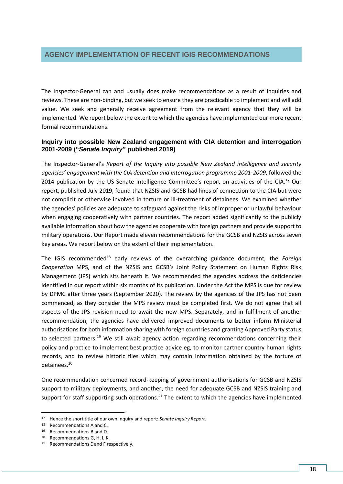### <span id="page-21-0"></span>**AGENCY IMPLEMENTATION OF RECENT IGIS RECOMMENDATIONS**

The Inspector-General can and usually does make recommendations as a result of inquiries and reviews. These are non-binding, but we seek to ensure they are practicable to implement and will add value. We seek and generally receive agreement from the relevant agency that they will be implemented. We report below the extent to which the agencies have implemented our more recent formal recommendations.

#### **Inquiry into possible New Zealand engagement with CIA detention and interrogation 2001-2009 ("***Senate Inquiry***" published 2019)**

The Inspector-General's *Report of the Inquiry into possible New Zealand intelligence and security agencies' engagement with the CIA detention and interrogation programme 2001-2009*, followed the 2014 publication by the US Senate Intelligence Committee's report on activities of the CIA.<sup>17</sup> Our report, published July 2019, found that NZSIS and GCSB had lines of connection to the CIA but were not complicit or otherwise involved in torture or ill-treatment of detainees. We examined whether the agencies' policies are adequate to safeguard against the risks of improper or unlawful behaviour when engaging cooperatively with partner countries. The report added significantly to the publicly available information about how the agencies cooperate with foreign partners and provide support to military operations. Our Report made eleven recommendations for the GCSB and NZSIS across seven key areas. We report below on the extent of their implementation.

The IGIS recommended<sup>18</sup> early reviews of the overarching guidance document, the *Foreign Cooperation* MPS, and of the NZSIS and GCSB's Joint Policy Statement on Human Rights Risk Management (JPS) which sits beneath it. We recommended the agencies address the deficiencies identified in our report within six months of its publication. Under the Act the MPS is due for review by DPMC after three years (September 2020). The review by the agencies of the JPS has not been commenced, as they consider the MPS review must be completed first. We do not agree that all aspects of the JPS revision need to await the new MPS. Separately, and in fulfilment of another recommendation, the agencies have delivered improved documents to better inform Ministerial authorisations for both information sharing with foreign countries and granting Approved Party status to selected partners.<sup>19</sup> We still await agency action regarding recommendations concerning their policy and practice to implement best practice advice eg, to monitor partner country human rights records, and to review historic files which may contain information obtained by the torture of detainees.<sup>20</sup>

One recommendation concerned record-keeping of government authorisations for GCSB and NZSIS support to military deployments, and another, the need for adequate GCSB and NZSIS training and support for staff supporting such operations.<sup>21</sup> The extent to which the agencies have implemented

<sup>17</sup> Hence the short title of our own Inquiry and report: *Senate Inquiry Report.*

<sup>18</sup> Recommendations A and C.

<sup>19</sup> Recommendations B and D.

<sup>20</sup> Recommendations G, H, I, K.

<sup>21</sup> Recommendations E and F respectively.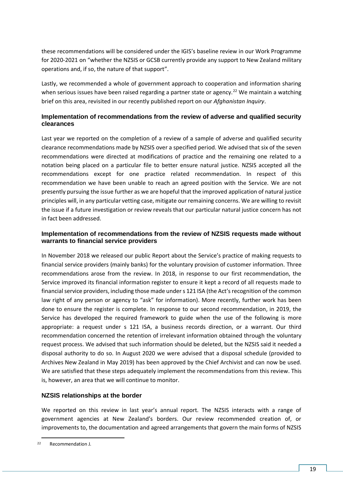these recommendations will be considered under the IGIS's baseline review in our Work Programme for 2020-2021 on "whether the NZSIS or GCSB currently provide any support to New Zealand military operations and, if so, the nature of that support".

Lastly, we recommended a whole of government approach to cooperation and information sharing when serious issues have been raised regarding a partner state or agency.<sup>22</sup> We maintain a watching brief on this area, revisited in our recently published report on our *Afghanistan Inquiry*.

### **Implementation of recommendations from the review of adverse and qualified security clearances**

Last year we reported on the completion of a review of a sample of adverse and qualified security clearance recommendations made by NZSIS over a specified period. We advised that six of the seven recommendations were directed at modifications of practice and the remaining one related to a notation being placed on a particular file to better ensure natural justice. NZSIS accepted all the recommendations except for one practice related recommendation. In respect of this recommendation we have been unable to reach an agreed position with the Service. We are not presently pursuing the issue further as we are hopeful that the improved application of natural justice principles will, in any particular vetting case, mitigate our remaining concerns. We are willing to revisit the issue if a future investigation or review reveals that our particular natural justice concern has not in fact been addressed.

### **Implementation of recommendations from the review of NZSIS requests made without warrants to financial service providers**

In November 2018 we released our public Report about the Service's practice of making requests to financial service providers (mainly banks) for the voluntary provision of customer information. Three recommendations arose from the review. In 2018, in response to our first recommendation, the Service improved its financial information register to ensure it kept a record of all requests made to financial service providers, including those made under s 121 ISA (the Act's recognition of the common law right of any person or agency to "ask" for information). More recently, further work has been done to ensure the register is complete. In response to our second recommendation, in 2019, the Service has developed the required framework to guide when the use of the following is more appropriate: a request under s 121 ISA, a business records direction, or a warrant. Our third recommendation concerned the retention of irrelevant information obtained through the voluntary request process. We advised that such information should be deleted, but the NZSIS said it needed a disposal authority to do so. In August 2020 we were advised that a disposal schedule (provided to Archives New Zealand in May 2019) has been approved by the Chief Archivist and can now be used. We are satisfied that these steps adequately implement the recommendations from this review. This is, however, an area that we will continue to monitor.

#### **NZSIS relationships at the border**

We reported on this review in last year's annual report. The NZSIS interacts with a range of government agencies at New Zealand's borders. Our review recommended creation of, or improvements to, the documentation and agreed arrangements that govern the main forms of NZSIS

<sup>22</sup> Recommendation J.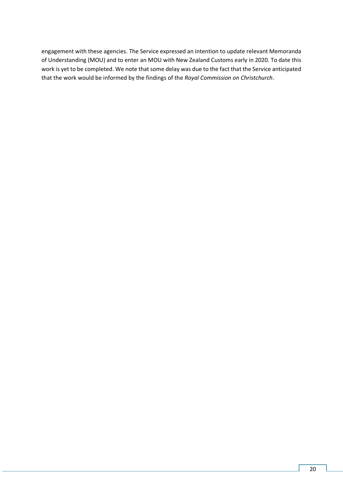engagement with these agencies. The Service expressed an intention to update relevant Memoranda of Understanding (MOU) and to enter an MOU with New Zealand Customs early in 2020. To date this work is yet to be completed. We note that some delay was due to the fact that the Service anticipated that the work would be informed by the findings of the *Royal Commission on Christchurch*.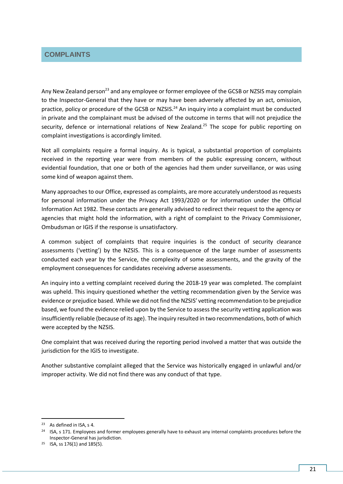### <span id="page-24-0"></span>**COMPLAINTS**

Any New Zealand person<sup>23</sup> and any employee or former employee of the GCSB or NZSIS may complain to the Inspector-General that they have or may have been adversely affected by an act, omission, practice, policy or procedure of the GCSB or NZSIS.<sup>24</sup> An inquiry into a complaint must be conducted in private and the complainant must be advised of the outcome in terms that will not prejudice the security, defence or international relations of New Zealand.<sup>25</sup> The scope for public reporting on complaint investigations is accordingly limited.

Not all complaints require a formal inquiry. As is typical, a substantial proportion of complaints received in the reporting year were from members of the public expressing concern, without evidential foundation, that one or both of the agencies had them under surveillance, or was using some kind of weapon against them.

Many approaches to our Office, expressed as complaints, are more accurately understood as requests for personal information under the Privacy Act 1993/2020 or for information under the Official Information Act 1982. These contacts are generally advised to redirect their request to the agency or agencies that might hold the information, with a right of complaint to the Privacy Commissioner, Ombudsman or IGIS if the response is unsatisfactory.

A common subject of complaints that require inquiries is the conduct of security clearance assessments ('vetting') by the NZSIS. This is a consequence of the large number of assessments conducted each year by the Service, the complexity of some assessments, and the gravity of the employment consequences for candidates receiving adverse assessments.

An inquiry into a vetting complaint received during the 2018-19 year was completed. The complaint was upheld. This inquiry questioned whether the vetting recommendation given by the Service was evidence or prejudice based. While we did not find the NZSIS' vetting recommendation to be prejudice based, we found the evidence relied upon by the Service to assess the security vetting application was insufficiently reliable (because of its age). The inquiry resulted in two recommendations, both of which were accepted by the NZSIS.

One complaint that was received during the reporting period involved a matter that was outside the jurisdiction for the IGIS to investigate.

Another substantive complaint alleged that the Service was historically engaged in unlawful and/or improper activity. We did not find there was any conduct of that type.

1

<sup>23</sup> As defined in ISA, s 4.

<sup>&</sup>lt;sup>24</sup> ISA, s 171. Employees and former employees generally have to exhaust any internal complaints procedures before the Inspector-General has jurisdiction.

<sup>25</sup> ISA, ss 176(1) and 185(5).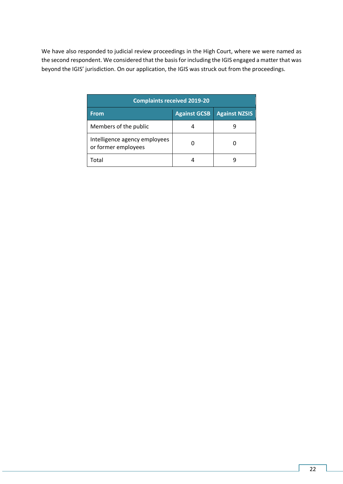We have also responded to judicial review proceedings in the High Court, where we were named as the second respondent. We considered that the basis for including the IGIS engaged a matter that was beyond the IGIS' jurisdiction. On our application, the IGIS was struck out from the proceedings.

| <b>Complaints received 2019-20</b>                   |                     |                      |  |
|------------------------------------------------------|---------------------|----------------------|--|
| <b>From</b>                                          | <b>Against GCSB</b> | <b>Against NZSIS</b> |  |
| Members of the public                                |                     |                      |  |
| Intelligence agency employees<br>or former employees |                     |                      |  |
| Total                                                |                     |                      |  |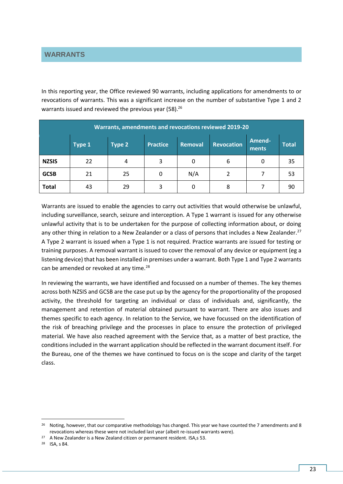<span id="page-26-0"></span>In this reporting year, the Office reviewed 90 warrants, including applications for amendments to or revocations of warrants. This was a significant increase on the number of substantive Type 1 and 2 warrants issued and reviewed the previous year (58).<sup>26</sup>

| Warrants, amendments and revocations reviewed 2019-20 |        |        |                 |                |                   |                 |              |
|-------------------------------------------------------|--------|--------|-----------------|----------------|-------------------|-----------------|--------------|
|                                                       | Type 1 | Type 2 | <b>Practice</b> | <b>Removal</b> | <b>Revocation</b> | Amend-<br>ments | <b>Total</b> |
| <b>NZSIS</b>                                          | 22     | 4      | 3               | 0              | 6                 | 0               | 35           |
| <b>GCSB</b>                                           | 21     | 25     | 0               | N/A            | 2                 |                 | 53           |
| <b>Total</b>                                          | 43     | 29     | 3               | 0              | 8                 |                 | 90           |

Warrants are issued to enable the agencies to carry out activities that would otherwise be unlawful, including surveillance, search, seizure and interception. A Type 1 warrant is issued for any otherwise unlawful activity that is to be undertaken for the purpose of collecting information about, or doing any other thing in relation to a New Zealander or a class of persons that includes a New Zealander.<sup>27</sup> A Type 2 warrant is issued when a Type 1 is not required. Practice warrants are issued for testing or training purposes. A removal warrant is issued to cover the removal of any device or equipment (eg a listening device) that has been installed in premises under a warrant. Both Type 1 and Type 2 warrants can be amended or revoked at any time.<sup>28</sup>

In reviewing the warrants, we have identified and focussed on a number of themes. The key themes across both NZSIS and GCSB are the case put up by the agency for the proportionality of the proposed activity, the threshold for targeting an individual or class of individuals and, significantly, the management and retention of material obtained pursuant to warrant. There are also issues and themes specific to each agency. In relation to the Service, we have focussed on the identification of the risk of breaching privilege and the processes in place to ensure the protection of privileged material. We have also reached agreement with the Service that, as a matter of best practice, the conditions included in the warrant application should be reflected in the warrant document itself. For the Bureau, one of the themes we have continued to focus on is the scope and clarity of the target class.

1

<sup>&</sup>lt;sup>26</sup> Noting, however, that our comparative methodology has changed. This year we have counted the 7 amendments and 8 revocations whereas these were not included last year (albeit re-issued warrants were).

<sup>&</sup>lt;sup>27</sup> A New Zealander is a New Zealand citizen or permanent resident. ISA,s 53.

<sup>28</sup> ISA, s 84.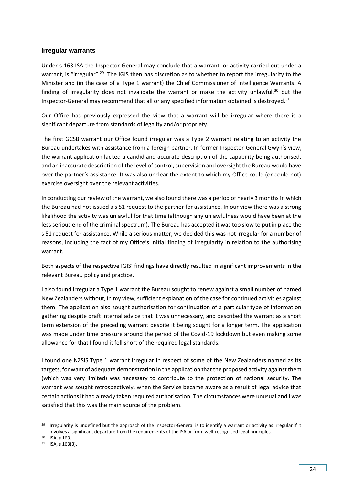#### **Irregular warrants**

Under s 163 ISA the Inspector-General may conclude that a warrant, or activity carried out under a warrant, is "irregular".<sup>29</sup> The IGIS then has discretion as to whether to report the irregularity to the Minister and (in the case of a Type 1 warrant) the Chief Commissioner of Intelligence Warrants. A finding of irregularity does not invalidate the warrant or make the activity unlawful, $30$  but the Inspector-General may recommend that all or any specified information obtained is destroyed.<sup>31</sup>

Our Office has previously expressed the view that a warrant will be irregular where there is a significant departure from standards of legality and/or propriety.

The first GCSB warrant our Office found irregular was a Type 2 warrant relating to an activity the Bureau undertakes with assistance from a foreign partner. In former Inspector-General Gwyn's view, the warrant application lacked a candid and accurate description of the capability being authorised, and an inaccurate description of the level of control, supervision and oversight the Bureau would have over the partner's assistance. It was also unclear the extent to which my Office could (or could not) exercise oversight over the relevant activities.

In conducting our review of the warrant, we also found there was a period of nearly 3 months in which the Bureau had not issued a s 51 request to the partner for assistance. In our view there was a strong likelihood the activity was unlawful for that time (although any unlawfulness would have been at the less serious end of the criminal spectrum). The Bureau has accepted it was too slow to put in place the s 51 request for assistance. While a serious matter, we decided this was not irregular for a number of reasons, including the fact of my Office's initial finding of irregularity in relation to the authorising warrant.

Both aspects of the respective IGIS' findings have directly resulted in significant improvements in the relevant Bureau policy and practice.

I also found irregular a Type 1 warrant the Bureau sought to renew against a small number of named New Zealanders without, in my view, sufficient explanation of the case for continued activities against them. The application also sought authorisation for continuation of a particular type of information gathering despite draft internal advice that it was unnecessary, and described the warrant as a short term extension of the preceding warrant despite it being sought for a longer term. The application was made under time pressure around the period of the Covid-19 lockdown but even making some allowance for that I found it fell short of the required legal standards.

I found one NZSIS Type 1 warrant irregular in respect of some of the New Zealanders named as its targets, for want of adequate demonstration in the application that the proposed activity against them (which was very limited) was necessary to contribute to the protection of national security. The warrant was sought retrospectively, when the Service became aware as a result of legal advice that certain actions it had already taken required authorisation. The circumstances were unusual and I was satisfied that this was the main source of the problem.

1

<sup>&</sup>lt;sup>29</sup> Irregularity is undefined but the approach of the Inspector-General is to identify a warrant or activity as irregular if it involves a significant departure from the requirements of the ISA or from well-recognised legal principles.

<sup>30</sup> ISA, s 163.

<sup>31</sup> ISA, s 163(3).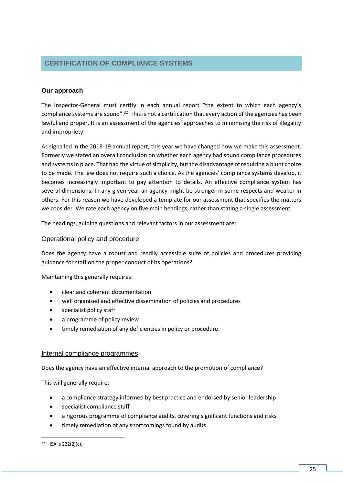# <span id="page-28-0"></span>**CERTIFICATION OF COMPLIANCE SYSTEMS**

### **Our approach**

The Inspector-General must certify in each annual report "the extent to which each agency's compliance systems are sound".<sup>32</sup> This is not a certification that every action of the agencies has been lawful and proper. It is an assessment of the agencies' approaches to minimising the risk of illegality and impropriety.

As signalled in the 2018-19 annual report, this year we have changed how we make this assessment. Formerly we stated an overall conclusion on whether each agency had sound compliance procedures and systems in place. That had the virtue of simplicity, but the disadvantage of requiring a blunt choice to be made. The law does not require such a choice. As the agencies' compliance systems develop, it becomes increasingly important to pay attention to details. An effective compliance system has several dimensions. In any given year an agency might be stronger in some respects and weaker in others. For this reason we have developed a template for our assessment that specifies the matters we consider. We rate each agency on five main headings, rather than stating a single assessment.

The headings, guiding questions and relevant factors in our assessment are:

### Operational policy and procedure

Does the agency have a robust and readily accessible suite of policies and procedures providing guidance for staff on the proper conduct of its operations?

Maintaining this generally requires:

- clear and coherent documentation
- well organised and effective dissemination of policies and procedures
- specialist policy staff
- a programme of policy review
- timely remediation of any deficiencies in policy or procedure.

#### Internal compliance programmes

Does the agency have an effective internal approach to the promotion of compliance?

This will generally require:

- a compliance strategy informed by best practice and endorsed by senior leadership
- specialist compliance staff
- a rigorous programme of compliance audits, covering significant functions and risks
- timely remediation of any shortcomings found by audits

<sup>32</sup> ISA, s 222(2)(c).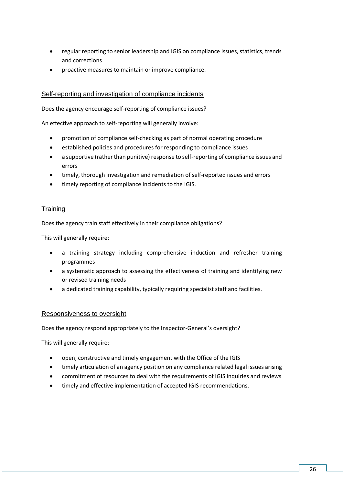- regular reporting to senior leadership and IGIS on compliance issues, statistics, trends and corrections
- proactive measures to maintain or improve compliance.

### Self-reporting and investigation of compliance incidents

Does the agency encourage self-reporting of compliance issues?

An effective approach to self-reporting will generally involve:

- promotion of compliance self-checking as part of normal operating procedure
- established policies and procedures for responding to compliance issues
- a supportive (rather than punitive) response to self-reporting of compliance issues and errors
- timely, thorough investigation and remediation of self-reported issues and errors
- timely reporting of compliance incidents to the IGIS.

### **Training**

Does the agency train staff effectively in their compliance obligations?

This will generally require:

- a training strategy including comprehensive induction and refresher training programmes
- a systematic approach to assessing the effectiveness of training and identifying new or revised training needs
- a dedicated training capability, typically requiring specialist staff and facilities.

#### Responsiveness to oversight

Does the agency respond appropriately to the Inspector-General's oversight?

This will generally require:

- open, constructive and timely engagement with the Office of the IGIS
- timely articulation of an agency position on any compliance related legal issues arising
- commitment of resources to deal with the requirements of IGIS inquiries and reviews
- timely and effective implementation of accepted IGIS recommendations.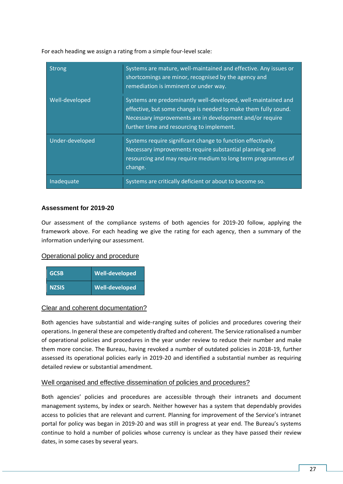For each heading we assign a rating from a simple four-level scale:

| <b>Strong</b>   | Systems are mature, well-maintained and effective. Any issues or<br>shortcomings are minor, recognised by the agency and<br>remediation is imminent or under way.                                                                        |
|-----------------|------------------------------------------------------------------------------------------------------------------------------------------------------------------------------------------------------------------------------------------|
| Well-developed  | Systems are predominantly well-developed, well-maintained and<br>effective, but some change is needed to make them fully sound.<br>Necessary improvements are in development and/or require<br>further time and resourcing to implement. |
| Under-developed | Systems require significant change to function effectively.<br>Necessary improvements require substantial planning and<br>resourcing and may require medium to long term programmes of<br>change.                                        |
| Inadequate      | Systems are critically deficient or about to become so.                                                                                                                                                                                  |

### **Assessment for 2019-20**

Our assessment of the compliance systems of both agencies for 2019-20 follow, applying the framework above. For each heading we give the rating for each agency, then a summary of the information underlying our assessment.

### Operational policy and procedure

| <b>GCSB</b>  | Well-developed |
|--------------|----------------|
| <b>NZSIS</b> | Well-developed |

#### Clear and coherent documentation?

Both agencies have substantial and wide-ranging suites of policies and procedures covering their operations. In general these are competently drafted and coherent. The Service rationalised a number of operational policies and procedures in the year under review to reduce their number and make them more concise. The Bureau, having revoked a number of outdated policies in 2018-19, further assessed its operational policies early in 2019-20 and identified a substantial number as requiring detailed review or substantial amendment.

### Well organised and effective dissemination of policies and procedures?

Both agencies' policies and procedures are accessible through their intranets and document management systems, by index or search. Neither however has a system that dependably provides access to policies that are relevant and current. Planning for improvement of the Service's intranet portal for policy was began in 2019-20 and was still in progress at year end. The Bureau's systems continue to hold a number of policies whose currency is unclear as they have passed their review dates, in some cases by several years.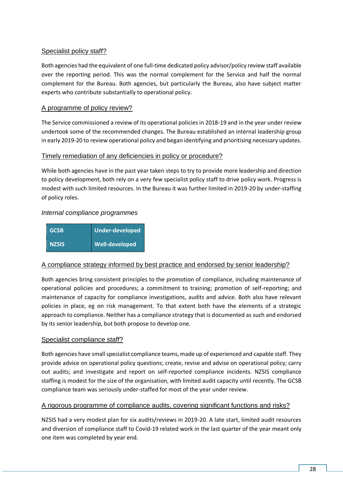### Specialist policy staff?

Both agencies had the equivalent of one full-time dedicated policy advisor/policy review staff available over the reporting period. This was the normal complement for the Service and half the normal complement for the Bureau. Both agencies, but particularly the Bureau, also have subject matter experts who contribute substantially to operational policy.

### A programme of policy review?

The Service commissioned a review of its operational policies in 2018-19 and in the year under review undertook some of the recommended changes. The Bureau established an internal leadership group in early 2019-20 to review operational policy and began identifying and prioritising necessary updates.

### Timely remediation of any deficiencies in policy or procedure?

While both agencies have in the past year taken steps to try to provide more leadership and direction to policy development, both rely on a very few specialist policy staff to drive policy work. Progress is modest with such limited resources. In the Bureau it was further limited in 2019-20 by under-staffing of policy roles.

### *Internal compliance programmes*

| <b>GCSB</b>  | Under-developed       |
|--------------|-----------------------|
| <b>NZSIS</b> | <b>Well-developed</b> |

### A compliance strategy informed by best practice and endorsed by senior leadership?

Both agencies bring consistent principles to the promotion of compliance, including maintenance of operational policies and procedures; a commitment to training; promotion of self-reporting; and maintenance of capacity for compliance investigations, audits and advice. Both also have relevant policies in place, eg on risk management. To that extent both have the elements of a strategic approach to compliance. Neither has a compliance strategy that is documented as such and endorsed by its senior leadership, but both propose to develop one.

#### Specialist compliance staff?

Both agencies have small specialist compliance teams, made up of experienced and capable staff. They provide advice on operational policy questions; create, revise and advise on operational policy; carry out audits; and investigate and report on self-reported compliance incidents. NZSIS compliance staffing is modest for the size of the organisation, with limited audit capacity until recently. The GCSB compliance team was seriously under-staffed for most of the year under review.

### A rigorous programme of compliance audits, covering significant functions and risks?

NZSIS had a very modest plan for six audits/reviews in 2019-20. A late start, limited audit resources and diversion of compliance staff to Covid-19 related work in the last quarter of the year meant only one item was completed by year end.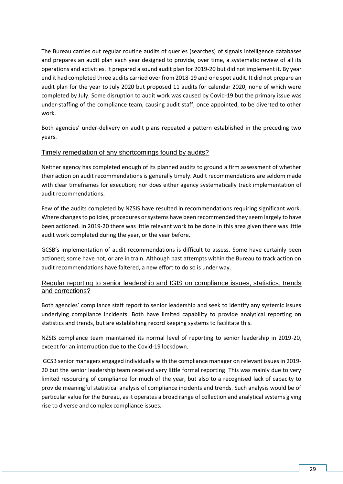The Bureau carries out regular routine audits of queries (searches) of signals intelligence databases and prepares an audit plan each year designed to provide, over time, a systematic review of all its operations and activities. It prepared a sound audit plan for 2019-20 but did not implement it. By year end it had completed three audits carried over from 2018-19 and one spot audit. It did not prepare an audit plan for the year to July 2020 but proposed 11 audits for calendar 2020, none of which were completed by July. Some disruption to audit work was caused by Covid-19 but the primary issue was under-staffing of the compliance team, causing audit staff, once appointed, to be diverted to other work.

Both agencies' under-delivery on audit plans repeated a pattern established in the preceding two years.

### Timely remediation of any shortcomings found by audits?

Neither agency has completed enough of its planned audits to ground a firm assessment of whether their action on audit recommendations is generally timely. Audit recommendations are seldom made with clear timeframes for execution; nor does either agency systematically track implementation of audit recommendations.

Few of the audits completed by NZSIS have resulted in recommendations requiring significant work. Where changes to policies, procedures or systems have been recommended they seem largely to have been actioned. In 2019-20 there was little relevant work to be done in this area given there was little audit work completed during the year, or the year before.

GCSB's implementation of audit recommendations is difficult to assess. Some have certainly been actioned; some have not, or are in train. Although past attempts within the Bureau to track action on audit recommendations have faltered, a new effort to do so is under way.

### Regular reporting to senior leadership and IGIS on compliance issues, statistics, trends and corrections?

Both agencies' compliance staff report to senior leadership and seek to identify any systemic issues underlying compliance incidents. Both have limited capability to provide analytical reporting on statistics and trends, but are establishing record keeping systems to facilitate this.

NZSIS compliance team maintained its normal level of reporting to senior leadership in 2019-20, except for an interruption due to the Covid-19 lockdown.

GCSB senior managers engaged individually with the compliance manager on relevant issues in 2019- 20 but the senior leadership team received very little formal reporting. This was mainly due to very limited resourcing of compliance for much of the year, but also to a recognised lack of capacity to provide meaningful statistical analysis of compliance incidents and trends. Such analysis would be of particular value for the Bureau, as it operates a broad range of collection and analytical systems giving rise to diverse and complex compliance issues.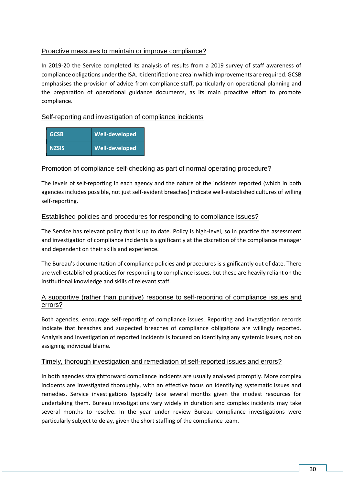### Proactive measures to maintain or improve compliance?

In 2019-20 the Service completed its analysis of results from a 2019 survey of staff awareness of compliance obligations under the ISA. It identified one area in which improvements are required. GCSB emphasises the provision of advice from compliance staff, particularly on operational planning and the preparation of operational guidance documents, as its main proactive effort to promote compliance.

# Self-reporting and investigation of compliance incidents

| <b>GCSB</b>  | Well-developed |
|--------------|----------------|
| <b>NZSIS</b> | Well-developed |

### Promotion of compliance self-checking as part of normal operating procedure?

The levels of self-reporting in each agency and the nature of the incidents reported (which in both agencies includes possible, not just self-evident breaches) indicate well-established cultures of willing self-reporting.

### Established policies and procedures for responding to compliance issues?

The Service has relevant policy that is up to date. Policy is high-level, so in practice the assessment and investigation of compliance incidents is significantly at the discretion of the compliance manager and dependent on their skills and experience.

The Bureau's documentation of compliance policies and procedures is significantly out of date. There are well established practices for responding to compliance issues, but these are heavily reliant on the institutional knowledge and skills of relevant staff.

### A supportive (rather than punitive) response to self-reporting of compliance issues and errors?

Both agencies, encourage self-reporting of compliance issues. Reporting and investigation records indicate that breaches and suspected breaches of compliance obligations are willingly reported. Analysis and investigation of reported incidents is focused on identifying any systemic issues, not on assigning individual blame.

### Timely, thorough investigation and remediation of self-reported issues and errors?

In both agencies straightforward compliance incidents are usually analysed promptly. More complex incidents are investigated thoroughly, with an effective focus on identifying systematic issues and remedies. Service investigations typically take several months given the modest resources for undertaking them. Bureau investigations vary widely in duration and complex incidents may take several months to resolve. In the year under review Bureau compliance investigations were particularly subject to delay, given the short staffing of the compliance team.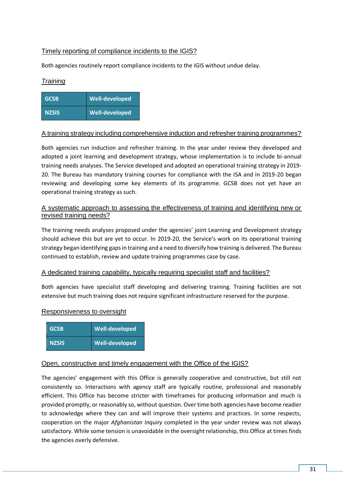# Timely reporting of compliance incidents to the IGIS?

Both agencies routinely report compliance incidents to the IGIS without undue delay.

### *Training*

| <b>GCSB</b>  | <b>Well-developed</b> |
|--------------|-----------------------|
| <b>NZSIS</b> | Well-developed        |

### A training strategy including comprehensive induction and refresher training programmes?

Both agencies run induction and refresher training. In the year under review they developed and adopted a joint learning and development strategy, whose implementation is to include bi-annual training needs analyses. The Service developed and adopted an operational training strategy in 2019- 20. The Bureau has mandatory training courses for compliance with the ISA and in 2019-20 began reviewing and developing some key elements of its programme. GCSB does not yet have an operational training strategy as such.

### A systematic approach to assessing the effectiveness of training and identifying new or revised training needs?

The training needs analyses proposed under the agencies' joint Learning and Development strategy should achieve this but are yet to occur. In 2019-20, the Service's work on its operational training strategy began identifying gaps in training and a need to diversify how training is delivered. The Bureau continued to establish, review and update training programmes case by case.

### A dedicated training capability, typically requiring specialist staff and facilities?

Both agencies have specialist staff developing and delivering training. Training facilities are not extensive but much training does not require significant infrastructure reserved for the purpose.

#### Responsiveness to oversight

| <b>GCSB</b>  | Well-developed |
|--------------|----------------|
| <b>NZSIS</b> | Well-developed |

#### Open, constructive and timely engagement with the Office of the IGIS?

The agencies' engagement with this Office is generally cooperative and constructive, but still not consistently so. Interactions with agency staff are typically routine, professional and reasonably efficient. This Office has become stricter with timeframes for producing information and much is provided promptly, or reasonably so, without question. Over time both agencies have become readier to acknowledge where they can and will improve their systems and practices. In some respects, cooperation on the major *Afghanistan Inquiry* completed in the year under review was not always satisfactory. While some tension is unavoidable in the oversight relationship, this Office at times finds the agencies overly defensive.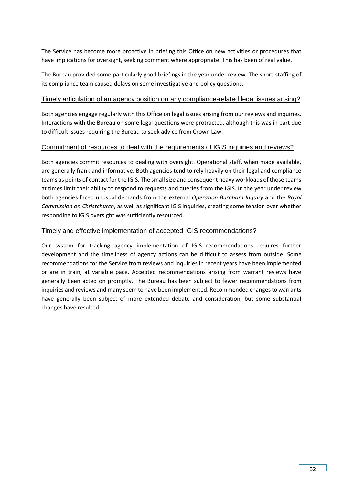The Service has become more proactive in briefing this Office on new activities or procedures that have implications for oversight, seeking comment where appropriate. This has been of real value.

The Bureau provided some particularly good briefings in the year under review. The short-staffing of its compliance team caused delays on some investigative and policy questions.

#### Timely articulation of an agency position on any compliance-related legal issues arising?

Both agencies engage regularly with this Office on legal issues arising from our reviews and inquiries. Interactions with the Bureau on some legal questions were protracted, although this was in part due to difficult issues requiring the Bureau to seek advice from Crown Law.

#### Commitment of resources to deal with the requirements of IGIS inquiries and reviews?

Both agencies commit resources to dealing with oversight. Operational staff, when made available, are generally frank and informative. Both agencies tend to rely heavily on their legal and compliance teams as points of contact for the IGIS. The small size and consequent heavy workloads of those teams at times limit their ability to respond to requests and queries from the IGIS. In the year under review both agencies faced unusual demands from the external *Operation Burnham Inquiry* and the *Royal Commission on Christchurch*, as well as significant IGIS inquiries, creating some tension over whether responding to IGIS oversight was sufficiently resourced.

### Timely and effective implementation of accepted IGIS recommendations?

Our system for tracking agency implementation of IGIS recommendations requires further development and the timeliness of agency actions can be difficult to assess from outside. Some recommendations for the Service from reviews and inquiries in recent years have been implemented or are in train, at variable pace. Accepted recommendations arising from warrant reviews have generally been acted on promptly. The Bureau has been subject to fewer recommendations from inquiries and reviews and many seem to have been implemented. Recommended changes to warrants have generally been subject of more extended debate and consideration, but some substantial changes have resulted.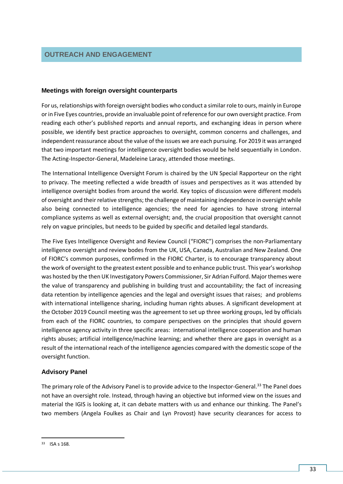#### <span id="page-36-0"></span>**Meetings with foreign oversight counterparts**

For us, relationships with foreign oversight bodies who conduct a similar role to ours, mainly in Europe or in Five Eyes countries, provide an invaluable point of reference for our own oversight practice. From reading each other's published reports and annual reports, and exchanging ideas in person where possible, we identify best practice approaches to oversight, common concerns and challenges, and independent reassurance about the value of the issues we are each pursuing. For 2019 it was arranged that two important meetings for intelligence oversight bodies would be held sequentially in London. The Acting-Inspector-General, Madeleine Laracy, attended those meetings.

The International Intelligence Oversight Forum is chaired by the UN Special Rapporteur on the right to privacy. The meeting reflected a wide breadth of issues and perspectives as it was attended by intelligence oversight bodies from around the world. Key topics of discussion were different models of oversight and their relative strengths; the challenge of maintaining independence in oversight while also being connected to intelligence agencies; the need for agencies to have strong internal compliance systems as well as external oversight; and, the crucial proposition that oversight cannot rely on vague principles, but needs to be guided by specific and detailed legal standards.

The Five Eyes Intelligence Oversight and Review Council ("FIORC") comprises the non-Parliamentary intelligence oversight and review bodes from the UK, USA, Canada, Australian and New Zealand. One of FIORC's common purposes, confirmed in the FIORC Charter, is to encourage transparency about the work of oversight to the greatest extent possible and to enhance public trust. This year's workshop was hosted by the then UK Investigatory Powers Commissioner, Sir Adrian Fulford. Major themes were the value of transparency and publishing in building trust and accountability; the fact of increasing data retention by intelligence agencies and the legal and oversight issues that raises; and problems with international intelligence sharing, including human rights abuses. A significant development at the October 2019 Council meeting was the agreement to set up three working groups, led by officials from each of the FIORC countries, to compare perspectives on the principles that should govern intelligence agency activity in three specific areas: international intelligence cooperation and human rights abuses; artificial intelligence/machine learning; and whether there are gaps in oversight as a result of the international reach of the intelligence agencies compared with the domestic scope of the oversight function.

### **Advisory Panel**

The primary role of the Advisory Panel is to provide advice to the Inspector-General.<sup>33</sup> The Panel does not have an oversight role. Instead, through having an objective but informed view on the issues and material the IGIS is looking at, it can debate matters with us and enhance our thinking. The Panel's two members (Angela Foulkes as Chair and Lyn Provost) have security clearances for access to

**<sup>.</sup>** <sup>33</sup> ISA s 168.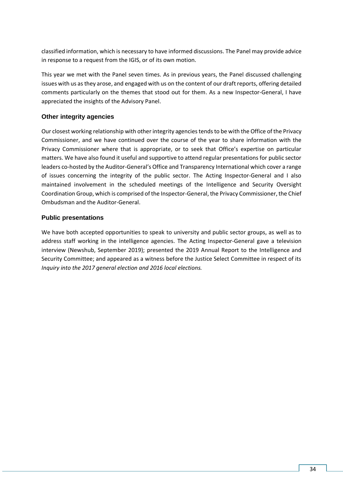classified information, which is necessary to have informed discussions. The Panel may provide advice in response to a request from the IGIS, or of its own motion.

This year we met with the Panel seven times. As in previous years, the Panel discussed challenging issues with us as they arose, and engaged with us on the content of our draft reports, offering detailed comments particularly on the themes that stood out for them. As a new Inspector-General, I have appreciated the insights of the Advisory Panel.

### **Other integrity agencies**

Our closest working relationship with other integrity agencies tends to be with the Office of the Privacy Commissioner, and we have continued over the course of the year to share information with the Privacy Commissioner where that is appropriate, or to seek that Office's expertise on particular matters. We have also found it useful and supportive to attend regular presentations for public sector leaders co-hosted by the Auditor-General's Office and Transparency International which cover a range of issues concerning the integrity of the public sector. The Acting Inspector-General and I also maintained involvement in the scheduled meetings of the Intelligence and Security Oversight Coordination Group, which is comprised of the Inspector-General, the Privacy Commissioner, the Chief Ombudsman and the Auditor-General.

### **Public presentations**

We have both accepted opportunities to speak to university and public sector groups, as well as to address staff working in the intelligence agencies. The Acting Inspector-General gave a television interview (Newshub, September 2019); presented the 2019 Annual Report to the Intelligence and Security Committee; and appeared as a witness before the Justice Select Committee in respect of its *Inquiry into the 2017 general election and 2016 local elections.*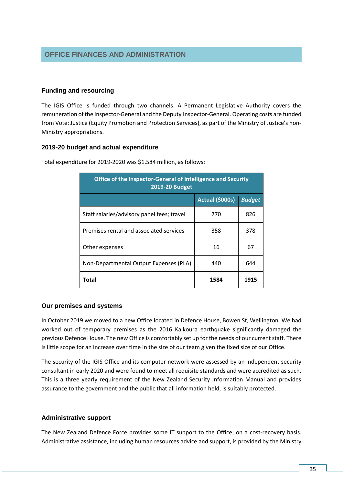### <span id="page-38-0"></span>**Funding and resourcing**

The IGIS Office is funded through two channels. A Permanent Legislative Authority covers the remuneration of the Inspector-General and the Deputy Inspector-General. Operating costs are funded from Vote: Justice (Equity Promotion and Protection Services), as part of the Ministry of Justice's non-Ministry appropriations.

#### **2019-20 budget and actual expenditure**

| Office of the Inspector-General of Intelligence and Security<br>2019-20 Budget |                 |               |  |
|--------------------------------------------------------------------------------|-----------------|---------------|--|
|                                                                                | Actual (\$000s) | <b>Budget</b> |  |
| Staff salaries/advisory panel fees; travel                                     | 770             | 826           |  |
| Premises rental and associated services                                        | 358             | 378           |  |
| Other expenses                                                                 | 16              | 67            |  |
| Non-Departmental Output Expenses (PLA)                                         | 440             | 644           |  |
| Total                                                                          | 1584            | 1915          |  |

Total expenditure for 2019-2020 was \$1.584 million, as follows:

#### **Our premises and systems**

In October 2019 we moved to a new Office located in Defence House, Bowen St, Wellington. We had worked out of temporary premises as the 2016 Kaikoura earthquake significantly damaged the previous Defence House. The new Office is comfortably set up for the needs of our current staff. There is little scope for an increase over time in the size of our team given the fixed size of our Office.

The security of the IGIS Office and its computer network were assessed by an independent security consultant in early 2020 and were found to meet all requisite standards and were accredited as such. This is a three yearly requirement of the New Zealand Security Information Manual and provides assurance to the government and the public that all information held, is suitably protected.

#### **Administrative support**

The New Zealand Defence Force provides some IT support to the Office, on a cost-recovery basis. Administrative assistance, including human resources advice and support, is provided by the Ministry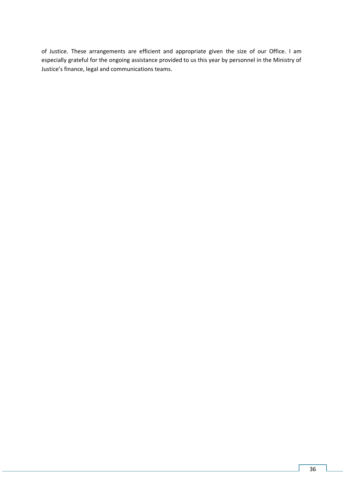of Justice. These arrangements are efficient and appropriate given the size of our Office. I am especially grateful for the ongoing assistance provided to us this year by personnel in the Ministry of Justice's finance, legal and communications teams.